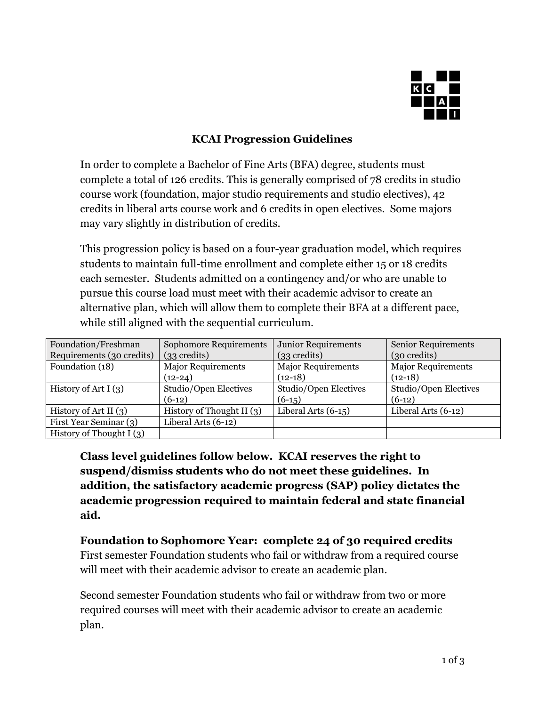

### **KCAI Progression Guidelines**

In order to complete a Bachelor of Fine Arts (BFA) degree, students must complete a total of 126 credits. This is generally comprised of 78 credits in studio course work (foundation, major studio requirements and studio electives), 42 credits in liberal arts course work and 6 credits in open electives. Some majors may vary slightly in distribution of credits.

This progression policy is based on a four-year graduation model, which requires students to maintain full-time enrollment and complete either 15 or 18 credits each semester. Students admitted on a contingency and/or who are unable to pursue this course load must meet with their academic advisor to create an alternative plan, which will allow them to complete their BFA at a different pace, while still aligned with the sequential curriculum.

| Foundation/Freshman        | <b>Sophomore Requirements</b> | <b>Junior Requirements</b>      | <b>Senior Requirements</b> |
|----------------------------|-------------------------------|---------------------------------|----------------------------|
| Requirements (30 credits)  | $(33 \text{ credits})$        | (33 <sub>3</sub> <sub>1</sub> ) | (30 credits)               |
| Foundation (18)            | <b>Major Requirements</b>     | <b>Major Requirements</b>       | <b>Major Requirements</b>  |
|                            | $(12-24)$                     | $(12-18)$                       | $(12-18)$                  |
| History of Art I $(3)$     | Studio/Open Electives         | Studio/Open Electives           | Studio/Open Electives      |
|                            | $(6-12)$                      | $(6-15)$                        | $(6-12)$                   |
| History of Art II $(3)$    | History of Thought II $(3)$   | Liberal Arts $(6-15)$           | Liberal Arts $(6-12)$      |
| First Year Seminar (3)     | Liberal Arts $(6-12)$         |                                 |                            |
| History of Thought I $(3)$ |                               |                                 |                            |

**Class level guidelines follow below. KCAI reserves the right to suspend/dismiss students who do not meet these guidelines. In addition, the satisfactory academic progress (SAP) policy dictates the academic progression required to maintain federal and state financial aid.**

# **Foundation to Sophomore Year: complete 24 of 30 required credits**

First semester Foundation students who fail or withdraw from a required course will meet with their academic advisor to create an academic plan.

Second semester Foundation students who fail or withdraw from two or more required courses will meet with their academic advisor to create an academic plan.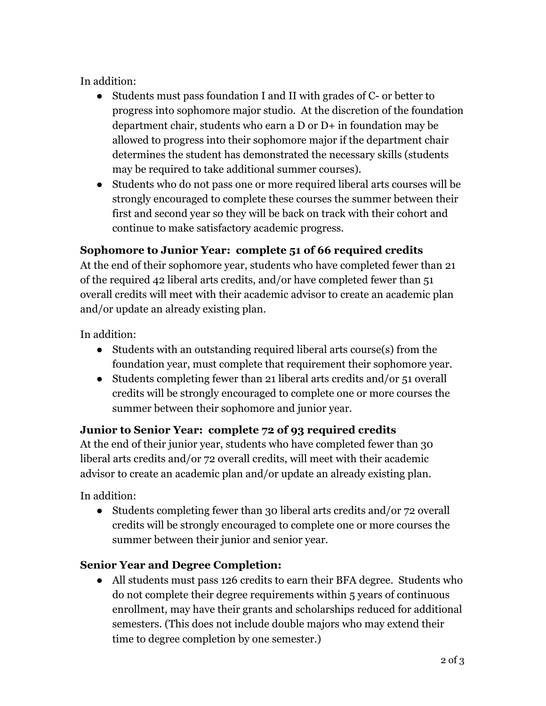In addition:

- Students must pass foundation I and II with grades of C- or better to progress into sophomore major studio. At the discretion of the foundation department chair, students who earn a D or D+ in foundation may be allowed to progress into their sophomore major if the department chair determines the student has demonstrated the necessary skills (students may be required to take additional summer courses).
- Students who do not pass one or more required liberal arts courses will be strongly encouraged to complete these courses the summer between their first and second year so they will be back on track with their cohort and continue to make satisfactory academic progress.

# **Sophomore to Junior Year: complete 51 of 66 required credits**

At the end of their sophomore year, students who have completed fewer than 21 of the required 42 liberal arts credits, and/or have completed fewer than 51 overall credits will meet with their academic advisor to create an academic plan and/or update an already existing plan.

In addition:

- Students with an outstanding required liberal arts course(s) from the foundation year, must complete that requirement their sophomore year.
- Students completing fewer than 21 liberal arts credits and/or 51 overall credits will be strongly encouraged to complete one or more courses the summer between their sophomore and junior year.

# **Junior to Senior Year: complete 72 of 93 required credits**

At the end of their junior year, students who have completed fewer than 30 liberal arts credits and/or 72 overall credits, will meet with their academic advisor to create an academic plan and/or update an already existing plan.

In addition:

• Students completing fewer than 30 liberal arts credits and/or 72 overall credits will be strongly encouraged to complete one or more courses the summer between their junior and senior year.

# **Senior Year and Degree Completion:**

● All students must pass 126 credits to earn their BFA degree. Students who do not complete their degree requirements within 5 years of continuous enrollment, may have their grants and scholarships reduced for additional semesters. (This does not include double majors who may extend their time to degree completion by one semester.)